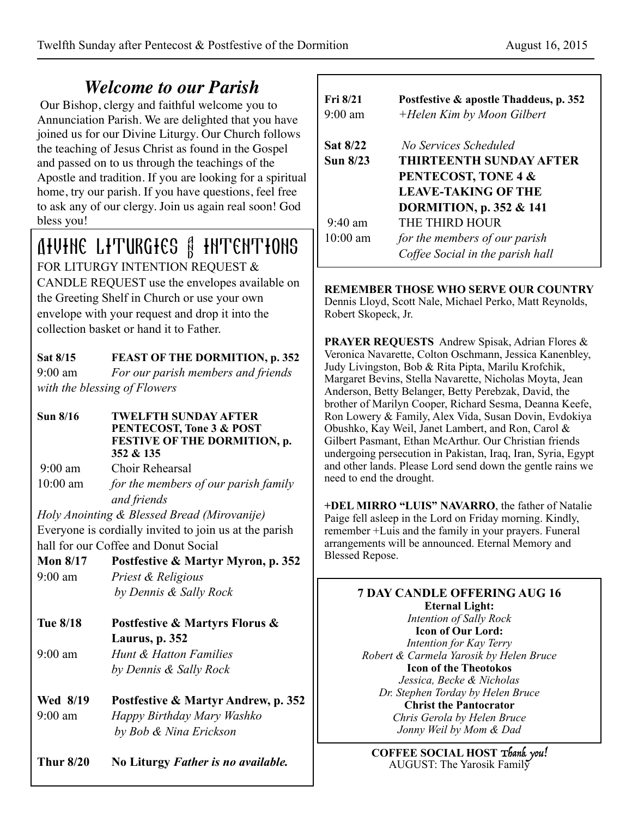# *Welcome to our Parish*

 Our Bishop, clergy and faithful welcome you to Annunciation Parish. We are delighted that you have joined us for our Divine Liturgy. Our Church follows the teaching of Jesus Christ as found in the Gospel and passed on to us through the teachings of the Apostle and tradition. If you are looking for a spiritual home, try our parish. If you have questions, feel free to ask any of our clergy. Join us again real soon! God bless you!

## Divine Liturgies & Intentions FOR LITURGY INTENTION REQUEST &

CANDLE REQUEST use the envelopes available on the Greeting Shelf in Church or use your own envelope with your request and drop it into the collection basket or hand it to Father.

**Sat 8/15 FEAST OF THE DORMITION, p. 352**  9:00 am *For our parish members and friends* 

*with the blessing of Flowers* 

**Sun 8/16 TWELFTH SUNDAY AFTER PENTECOST, Tone 3 & POST FESTIVE OF THE DORMITION, p. 352 & 135** 

9:00 am Choir Rehearsal

10:00 am *for the members of our parish family and friends* 

*Holy Anointing & Blessed Bread (Mirovanije)*  Everyone is cordially invited to join us at the parish hall for our Coffee and Donut Social

- **Mon 8/17 Postfestive & Martyr Myron, p. 352**  9:00 am *Priest & Religious by Dennis & Sally Rock*
- **Tue 8/18 Postfestive & Martyrs Florus & Laurus, p. 352**  9:00 am *Hunt & Hatton Families by Dennis & Sally Rock*
- **Wed 8/19 Postfestive & Martyr Andrew, p. 352**  9:00 am *Happy Birthday Mary Washko by Bob & Nina Erickson*

**Thur 8/20 No Liturgy** *Father is no available.*

| Fig 8/21<br>$9:00 \text{ am}$ | Postfestive & apostle Thaddeus, p. 352<br>+Helen Kim by Moon Gilbert |
|-------------------------------|----------------------------------------------------------------------|
| <b>Sat 8/22</b>               | No Services Scheduled                                                |
| Sun 8/23                      | <b>THIRTEENTH SUNDAY AFTER</b>                                       |
|                               | PENTECOST, TONE 4 &                                                  |
|                               | <b>LEAVE-TAKING OF THE</b>                                           |
|                               | <b>DORMITION, p. 352 &amp; 141</b>                                   |
| $9.40$ am                     | THE THIRD HOUR                                                       |
| $10:00$ am                    | for the members of our parish                                        |
|                               | Coffee Social in the parish hall                                     |

#### **REMEMBER THOSE WHO SERVE OUR COUNTRY**  Dennis Lloyd, Scott Nale, Michael Perko, Matt Reynolds,

Robert Skopeck, Jr.

**PRAYER REQUESTS** Andrew Spisak, Adrian Flores & Veronica Navarette, Colton Oschmann, Jessica Kanenbley, Judy Livingston, Bob & Rita Pipta, Marilu Krofchik, Margaret Bevins, Stella Navarette, Nicholas Moyta, Jean Anderson, Betty Belanger, Betty Perebzak, David, the brother of Marilyn Cooper, Richard Sesma, Deanna Keefe, Ron Lowery & Family, Alex Vida, Susan Dovin, Evdokiya Obushko, Kay Weil, Janet Lambert, and Ron, Carol & Gilbert Pasmant, Ethan McArthur. Our Christian friends undergoing persecution in Pakistan, Iraq, Iran, Syria, Egypt and other lands. Please Lord send down the gentle rains we need to end the drought.

**+DEL MIRRO "LUIS" NAVARRO**, the father of Natalie Paige fell asleep in the Lord on Friday morning. Kindly, remember +Luis and the family in your prayers. Funeral arrangements will be announced. Eternal Memory and Blessed Repose.

#### **7 DAY CANDLE OFFERING AUG 16 Eternal Light:**

*Intention of Sally Rock*  **Icon of Our Lord:**  *Intention for Kay Terry Robert & Carmela Yarosik by Helen Bruce*  **Icon of the Theotokos**  *Jessica, Becke & Nicholas Dr. Stephen Torday by Helen Bruce*  **Christ the Pantocrator**  *Chris Gerola by Helen Bruce Jonny Weil by Mom & Dad* 

**COFFEE SOCIAL HOST** Thank you! AUGUST: The Yarosik Family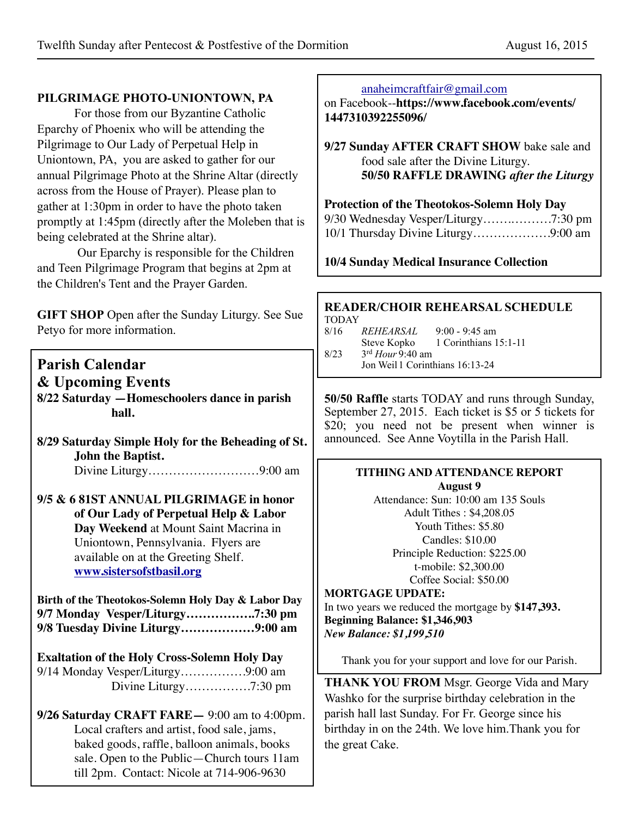## **PILGRIMAGE PHOTO-UNIONTOWN, PA**

 For those from our Byzantine Catholic Eparchy of Phoenix who will be attending the Pilgrimage to Our Lady of Perpetual Help in Uniontown, PA, you are asked to gather for our annual Pilgrimage Photo at the Shrine Altar (directly across from the House of Prayer). Please plan to gather at 1:30pm in order to have the photo taken promptly at 1:45pm (directly after the Moleben that is being celebrated at the Shrine altar).

 Our Eparchy is responsible for the Children and Teen Pilgrimage Program that begins at 2pm at the Children's Tent and the Prayer Garden.

**GIFT SHOP** Open after the Sunday Liturgy. See Sue Petyo for more information.

# **Parish Calendar**

**& Upcoming Events 8/22 Saturday —Homeschoolers dance in parish hall.**

- **8/29 Saturday Simple Holy for the Beheading of St. John the Baptist.** Divine Liturgy………………………9:00 am
- **9/5 & 6 81ST ANNUAL PILGRIMAGE in honor of Our Lady of Perpetual Help & Labor Day Weekend** at Mount Saint Macrina in Uniontown, Pennsylvania. Flyers are available on at the Greeting Shelf. **[www.sistersofstbasil.org](http://www.sistersofstbasil.org)**

**Birth of the Theotokos-Solemn Holy Day & Labor Day 9/7 Monday Vesper/Liturgy……………..7:30 pm 9/8 Tuesday Divine Liturgy………………9:00 am**

**Exaltation of the Holy Cross-Solemn Holy Day** 9/14 Monday Vesper/Liturgy…………….9:00 am Divine Liturgy…………….7:30 pm

**9/26 Saturday CRAFT FARE—** 9:00 am to 4:00pm. Local crafters and artist, food sale, jams, baked goods, raffle, balloon animals, books sale. Open to the Public—Church tours 11am till 2pm. Contact: Nicole at 714-906-9630

#### [anaheimcraftfair@gmail.com](mailto:anaheimcraftfair@gmail.com)

on Facebook--**[https://www.facebook.com/events/](https://www.facebook.com/events/1447310392255096/) 1447310392255096/**

**9/27 Sunday AFTER CRAFT SHOW** bake sale and food sale after the Divine Liturgy. **50/50 RAFFLE DRAWING** *after the Liturgy*

**Protection of the Theotokos-Solemn Holy Day**  $9/30 \, \text{W}$   $\bar{1}$  pm s  $\bar{1}$  pm  $\bar{1}$ 

**10/4 Sunday Medical Insurance Collection**

## **READER/CHOIR REHEARSAL SCHEDULE**

TODAY 8/16 *REHEARSAL* 9:00 - 9:45 am Steve Kopko 1 Corinthians 15:1-11 8/23 3rd *Hour* 9:40 am Jon Weil 1 Corinthians 16:13-24

**50/50 Raffle** starts TODAY and runs through Sunday, September 27, 2015. Each ticket is \$5 or 5 tickets for \$20; you need not be present when winner is announced. See Anne Voytilla in the Parish Hall.

#### **TITHING AND ATTENDANCE REPORT August 9**

Attendance: Sun: 10:00 am 135 Souls Adult Tithes : \$4,208.05 Youth Tithes: \$5.80 Candles: \$10.00 Principle Reduction: \$225.00 t-mobile: \$2,300.00 Coffee Social: \$50.00

#### **MORTGAGE UPDATE:**

In two years we reduced the mortgage by **\$147,393. Beginning Balance: \$1,346,903** *New Balance: \$1,199,510*

Thank you for your support and love for our Parish.

**THANK YOU FROM** Msgr. George Vida and Mary Washko for the surprise birthday celebration in the parish hall last Sunday. For Fr. George since his birthday in on the 24th. We love him.Thank you for the great Cake.